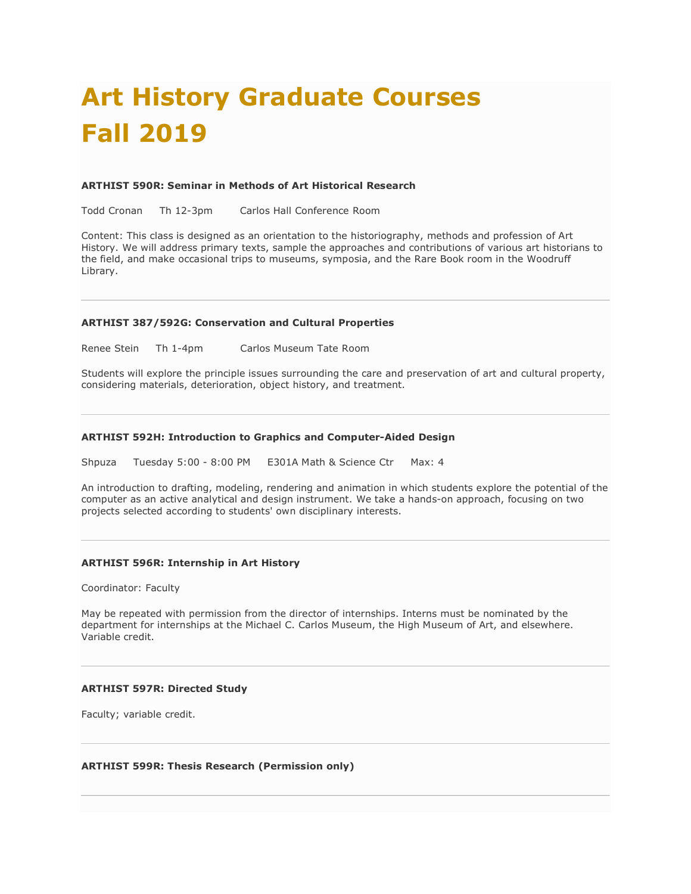# **Art History Graduate Courses Fall 2019**

## **ARTHIST 590R: Seminar in Methods of Art Historical Research**

Todd Cronan Th 12-3pm Carlos Hall Conference Room

Content: This class is designed as an orientation to the historiography, methods and profession of Art History. We will address primary texts, sample the approaches and contributions of various art historians to the field, and make occasional trips to museums, symposia, and the Rare Book room in the Woodruff Library.

## **ARTHIST 387/592G: Conservation and Cultural Properties**

Renee Stein Th 1-4pm Carlos Museum Tate Room

Students will explore the principle issues surrounding the care and preservation of art and cultural property, considering materials, deterioration, object history, and treatment.

#### **ARTHIST 592H: Introduction to Graphics and Computer-Aided Design**

Shpuza Tuesday 5:00 - 8:00 PM E301A Math & Science Ctr Max: 4

An introduction to drafting, modeling, rendering and animation in which students explore the potential of the computer as an active analytical and design instrument. We take a hands-on approach, focusing on two projects selected according to students' own disciplinary interests.

## **ARTHIST 596R: Internship in Art History**

Coordinator: Faculty

May be repeated with permission from the director of internships. Interns must be nominated by the department for internships at the Michael C. Carlos Museum, the High Museum of Art, and elsewhere. Variable credit.

#### **ARTHIST 597R: Directed Study**

Faculty; variable credit.

#### **ARTHIST 599R: Thesis Research (Permission only)**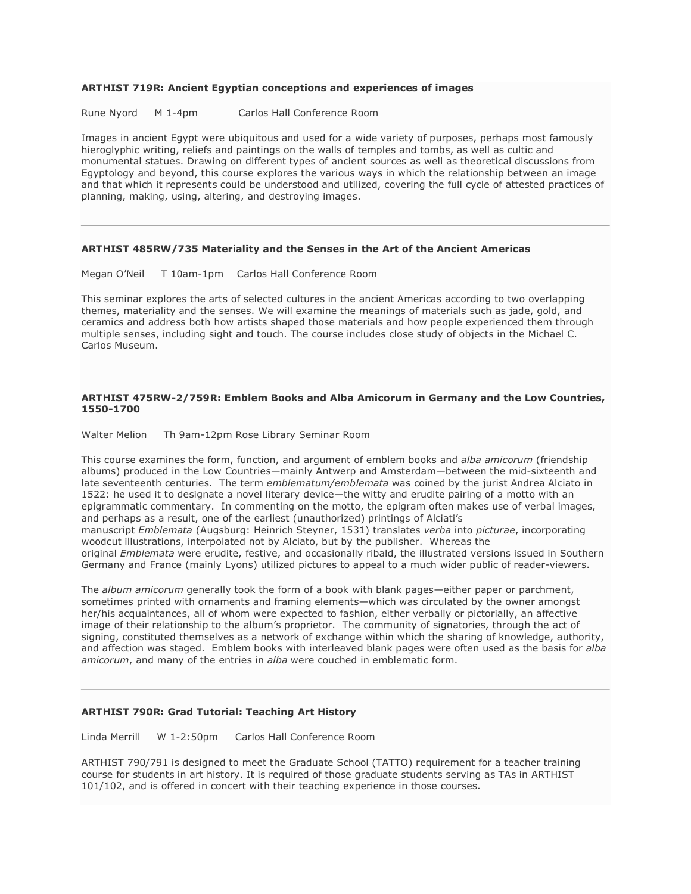## **ARTHIST 719R: Ancient Egyptian conceptions and experiences of images**

Rune Nyord M 1-4pm Carlos Hall Conference Room

Images in ancient Egypt were ubiquitous and used for a wide variety of purposes, perhaps most famously hieroglyphic writing, reliefs and paintings on the walls of temples and tombs, as well as cultic and monumental statues. Drawing on different types of ancient sources as well as theoretical discussions from Egyptology and beyond, this course explores the various ways in which the relationship between an image and that which it represents could be understood and utilized, covering the full cycle of attested practices of planning, making, using, altering, and destroying images.

## **ARTHIST 485RW/735 Materiality and the Senses in the Art of the Ancient Americas**

Megan O'Neil T 10am-1pm Carlos Hall Conference Room

This seminar explores the arts of selected cultures in the ancient Americas according to two overlapping themes, materiality and the senses. We will examine the meanings of materials such as jade, gold, and ceramics and address both how artists shaped those materials and how people experienced them through multiple senses, including sight and touch. The course includes close study of objects in the Michael C. Carlos Museum.

### **ARTHIST 475RW-2/759R: Emblem Books and Alba Amicorum in Germany and the Low Countries, 1550-1700**

Walter Melion Th 9am-12pm Rose Library Seminar Room

This course examines the form, function, and argument of emblem books and *alba amicorum* (friendship albums) produced in the Low Countries—mainly Antwerp and Amsterdam—between the mid-sixteenth and late seventeenth centuries. The term *emblematum/emblemata* was coined by the jurist Andrea Alciato in 1522: he used it to designate a novel literary device—the witty and erudite pairing of a motto with an epigrammatic commentary. In commenting on the motto, the epigram often makes use of verbal images, and perhaps as a result, one of the earliest (unauthorized) printings of Alciati's manuscript *Emblemata* (Augsburg: Heinrich Steyner, 1531) translates *verba* into *picturae*, incorporating woodcut illustrations, interpolated not by Alciato, but by the publisher. Whereas the original *Emblemata* were erudite, festive, and occasionally ribald, the illustrated versions issued in Southern Germany and France (mainly Lyons) utilized pictures to appeal to a much wider public of reader-viewers.

The *album amicorum* generally took the form of a book with blank pages—either paper or parchment, sometimes printed with ornaments and framing elements—which was circulated by the owner amongst her/his acquaintances, all of whom were expected to fashion, either verbally or pictorially, an affective image of their relationship to the album's proprietor. The community of signatories, through the act of signing, constituted themselves as a network of exchange within which the sharing of knowledge, authority, and affection was staged. Emblem books with interleaved blank pages were often used as the basis for *alba amicorum*, and many of the entries in *alba* were couched in emblematic form.

#### **ARTHIST 790R: Grad Tutorial: Teaching Art History**

Linda Merrill W 1-2:50pm Carlos Hall Conference Room

ARTHIST 790/791 is designed to meet the Graduate School (TATTO) requirement for a teacher training course for students in art history. It is required of those graduate students serving as TAs in ARTHIST 101/102, and is offered in concert with their teaching experience in those courses.